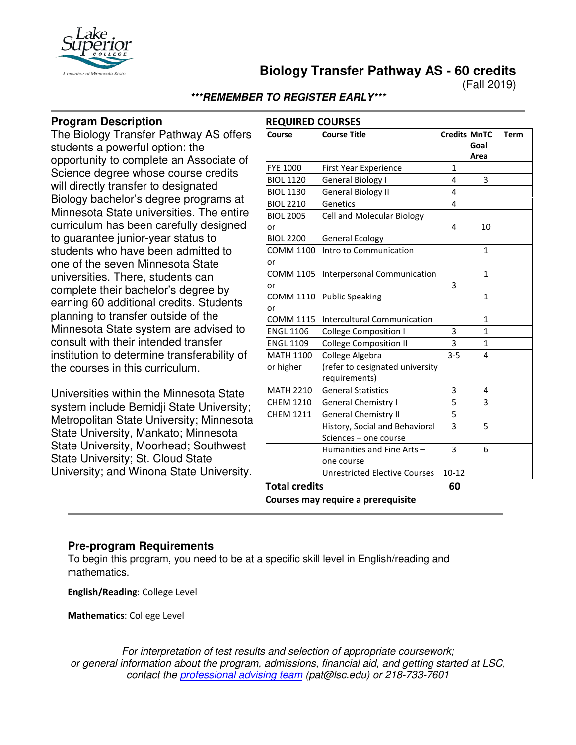

**Biology Transfer Pathway AS - 60 credits**

(Fall 2019)

### **\*\*\*REMEMBER TO REGISTER EARLY\*\*\***

# **Program Description**

The Biology Transfer Pathway AS offers students a powerful option: the opportunity to complete an Associate of Science degree whose course credits will directly transfer to designated Biology bachelor's degree programs at Minnesota State universities. The entire curriculum has been carefully designed to guarantee junior-year status to students who have been admitted to one of the seven Minnesota State universities. There, students can complete their bachelor's degree by earning 60 additional credits. Students planning to transfer outside of the Minnesota State system are advised to consult with their intended transfer institution to determine transferability of the courses in this curriculum.

Universities within the Minnesota State system include Bemidji State University; Metropolitan State University; Minnesota State University, Mankato; Minnesota State University, Moorhead; Southwest State University; St. Cloud State University; and Winona State University.

| Course                                     | <b>Course Title</b>                                     | Credits MnTC   | Goal<br>Area | <b>Term</b> |
|--------------------------------------------|---------------------------------------------------------|----------------|--------------|-------------|
| <b>FYE 1000</b>                            | First Year Experience                                   | $\mathbf{1}$   |              |             |
| <b>BIOL 1120</b>                           | General Biology I                                       | 4              | 3            |             |
| <b>BIOL 1130</b>                           | General Biology II                                      | 4              |              |             |
| <b>BIOL 2210</b>                           | Genetics                                                | 4              |              |             |
| <b>BIOL 2005</b><br>or                     | Cell and Molecular Biology                              | 4              | 10           |             |
| <b>BIOL 2200</b>                           | <b>General Ecology</b>                                  |                |              |             |
| <b>COMM 1100</b><br>or                     | Intro to Communication                                  |                | 1            |             |
| <b>COMM 1105</b><br>or<br><b>COMM 1110</b> | Interpersonal Communication<br><b>Public Speaking</b>   | 3              | 1<br>1       |             |
| or<br><b>COMM 1115</b>                     | Intercultural Communication                             |                | 1            |             |
| <b>ENGL 1106</b>                           | <b>College Composition I</b>                            | 3              | $\mathbf{1}$ |             |
| <b>ENGL 1109</b>                           | <b>College Composition II</b>                           | 3              | 1            |             |
| <b>MATH 1100</b>                           | College Algebra                                         | $3 - 5$        | 4            |             |
| or higher                                  | (refer to designated university<br>requirements)        |                |              |             |
| <b>MATH 2210</b>                           | <b>General Statistics</b>                               | 3              | 4            |             |
| <b>CHEM 1210</b>                           | General Chemistry I                                     | 5              | 3            |             |
| <b>CHEM 1211</b>                           | <b>General Chemistry II</b>                             | $\overline{5}$ |              |             |
|                                            | History, Social and Behavioral<br>Sciences - one course | 3              | 5            |             |
|                                            | Humanities and Fine Arts-<br>one course                 | 3              | 6            |             |
|                                            | <b>Unrestricted Elective Courses</b>                    | $10 - 12$      |              |             |
| <b>Total credits</b>                       |                                                         | 60             |              |             |

#### **Pre-program Requirements**

To begin this program, you need to be at a specific skill level in English/reading and mathematics.

**English/Reading**: College Level

**Mathematics**: College Level

*For interpretation of test results and selection of appropriate coursework; or general information about the program, admissions, financial aid, and getting started at LSC, contact the [professional advising team](mailto:pat@lsc.edu) (pat@lsc.edu) or 218-733-7601*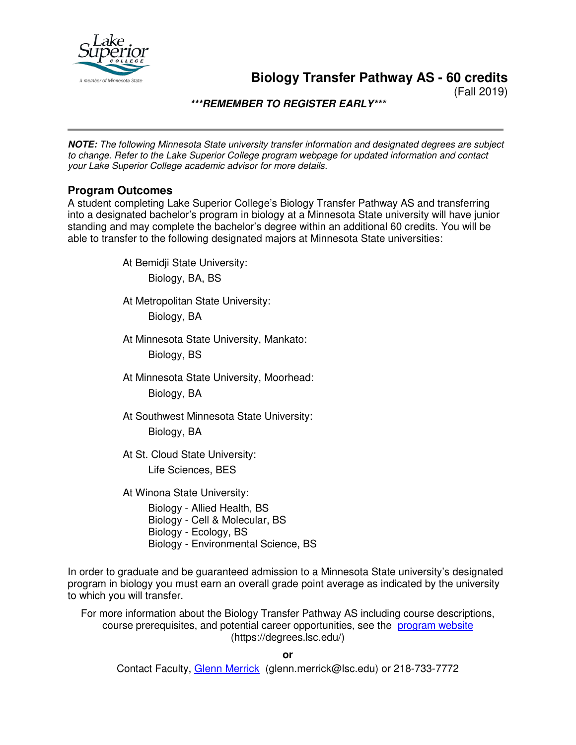

**Biology Transfer Pathway AS - 60 credits**

(Fall 2019)

**\*\*\*REMEMBER TO REGISTER EARLY\*\*\***

**NOTE:** *The following Minnesota State university transfer information and designated degrees are subject to change. Refer to the Lake Superior College program webpage for updated information and contact your Lake Superior College academic advisor for more details.*

#### **Program Outcomes**

A student completing Lake Superior College's Biology Transfer Pathway AS and transferring into a designated bachelor's program in biology at a Minnesota State university will have junior standing and may complete the bachelor's degree within an additional 60 credits. You will be able to transfer to the following designated majors at Minnesota State universities:

At Bemidji State University:

Biology, BA, BS

At Metropolitan State University:

Biology, BA

At Minnesota State University, Mankato:

Biology, BS

At Minnesota State University, Moorhead: Biology, BA

At Southwest Minnesota State University: Biology, BA

At St. Cloud State University: Life Sciences, BES

At Winona State University:

Biology - Allied Health, BS Biology - Cell & Molecular, BS Biology - Ecology, BS Biology - Environmental Science, BS

In order to graduate and be guaranteed admission to a Minnesota State university's designated program in biology you must earn an overall grade point average as indicated by the university to which you will transfer.

For more information about the Biology Transfer Pathway AS including course descriptions, course prerequisites, and potential career opportunities, see the [program website](https://degrees.lsc.edu/) (https://degrees.lsc.edu/)

**or**

Contact Faculty, [Glenn Merrick](mailto:glenn.merrick@lsc.edu) (glenn.merrick@lsc.edu) or 218-733-7772